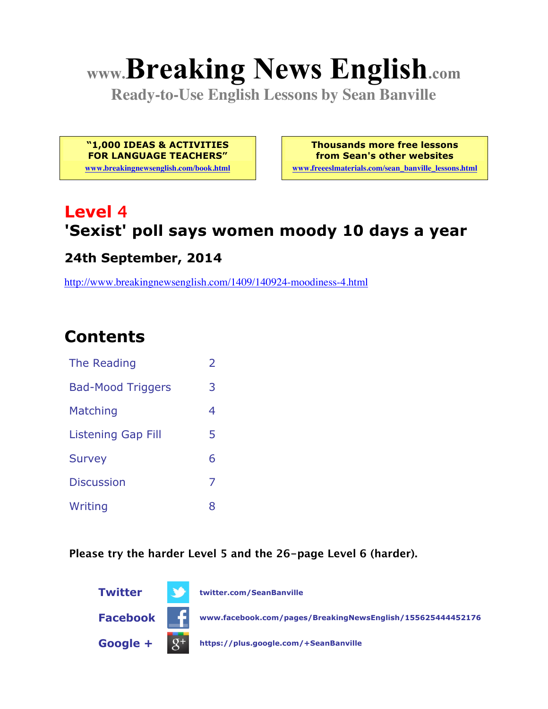# **www.Breaking News English.com**

**Ready-to-Use English Lessons by Sean Banville**

**"1,000 IDEAS & ACTIVITIES FOR LANGUAGE TEACHERS"**

**www.breakingnewsenglish.com/book.html**

**Thousands more free lessons from Sean's other websites**

**www.freeeslmaterials.com/sean\_banville\_lessons.html**

# **Level 4 'Sexist' poll says women moody 10 days a year**

#### **24th September, 2014**

http://www.breakingnewsenglish.com/1409/140924-moodiness-4.html

# **Contents**

| The Reading               | $\mathcal{P}$ |
|---------------------------|---------------|
| <b>Bad-Mood Triggers</b>  | З             |
| Matching                  | 4             |
| <b>Listening Gap Fill</b> | 5             |
| <b>Survey</b>             | 6             |
| <b>Discussion</b>         | 7             |
| Writing                   | 8             |

**Please try the harder Level 5 and the 26-page Level 6 (harder).**

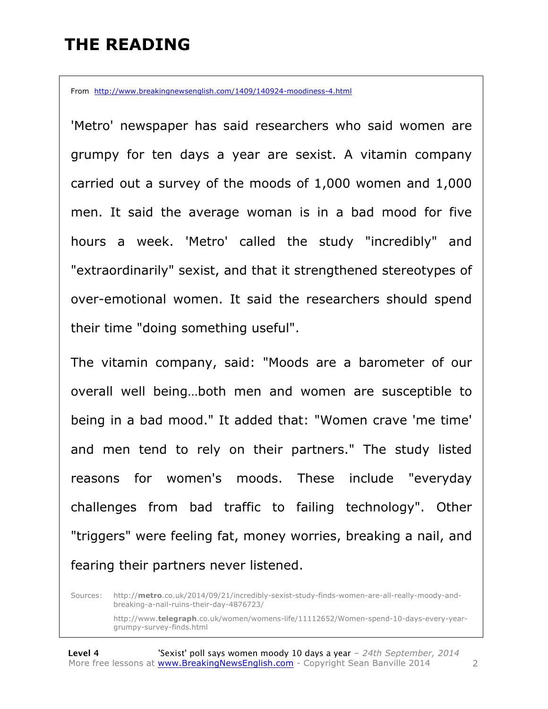### **THE READING**

From http://www.breakingnewsenglish.com/1409/140924-moodiness-4.html

'Metro' newspaper has said researchers who said women are grumpy for ten days a year are sexist. A vitamin company carried out a survey of the moods of 1,000 women and 1,000 men. It said the average woman is in a bad mood for five hours a week. 'Metro' called the study "incredibly" and "extraordinarily" sexist, and that it strengthened stereotypes of over-emotional women. It said the researchers should spend their time "doing something useful".

The vitamin company, said: "Moods are a barometer of our overall well being…both men and women are susceptible to being in a bad mood." It added that: "Women crave 'me time' and men tend to rely on their partners." The study listed reasons for women's moods. These include "everyday challenges from bad traffic to failing technology". Other "triggers" were feeling fat, money worries, breaking a nail, and fearing their partners never listened.

Sources: http://**metro**.co.uk/2014/09/21/incredibly-sexist-study-finds-women-are-all-really-moody-andbreaking-a-nail-ruins-their-day-4876723/

http://www.**telegraph**.co.uk/women/womens-life/11112652/Women-spend-10-days-every-yeargrumpy-survey-finds.html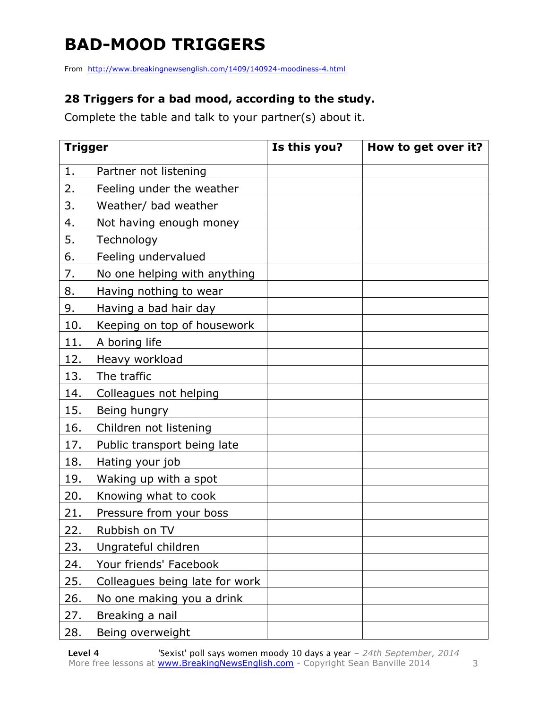# **BAD-MOOD TRIGGERS**

From http://www.breakingnewsenglish.com/1409/140924-moodiness-4.html

#### **28 Triggers for a bad mood, according to the study.**

Complete the table and talk to your partner(s) about it.

| <b>Trigger</b> |                                | Is this you? | How to get over it? |
|----------------|--------------------------------|--------------|---------------------|
| 1.             | Partner not listening          |              |                     |
| 2.             | Feeling under the weather      |              |                     |
| 3.             | Weather/ bad weather           |              |                     |
| 4.             | Not having enough money        |              |                     |
| 5.             | Technology                     |              |                     |
| 6.             | Feeling undervalued            |              |                     |
| 7.             | No one helping with anything   |              |                     |
| 8.             | Having nothing to wear         |              |                     |
| 9.             | Having a bad hair day          |              |                     |
| 10.            | Keeping on top of housework    |              |                     |
| 11.            | A boring life                  |              |                     |
| 12.            | Heavy workload                 |              |                     |
| 13.            | The traffic                    |              |                     |
| 14.            | Colleagues not helping         |              |                     |
| 15.            | Being hungry                   |              |                     |
| 16.            | Children not listening         |              |                     |
| 17.            | Public transport being late    |              |                     |
| 18.            | Hating your job                |              |                     |
| 19.            | Waking up with a spot          |              |                     |
| 20.            | Knowing what to cook           |              |                     |
| 21.            | Pressure from your boss        |              |                     |
| 22.            | Rubbish on TV                  |              |                     |
| 23.            | Ungrateful children            |              |                     |
| 24.            | Your friends' Facebook         |              |                     |
| 25.            | Colleagues being late for work |              |                     |
| 26.            | No one making you a drink      |              |                     |
| 27.            | Breaking a nail                |              |                     |
| 28.            | Being overweight               |              |                     |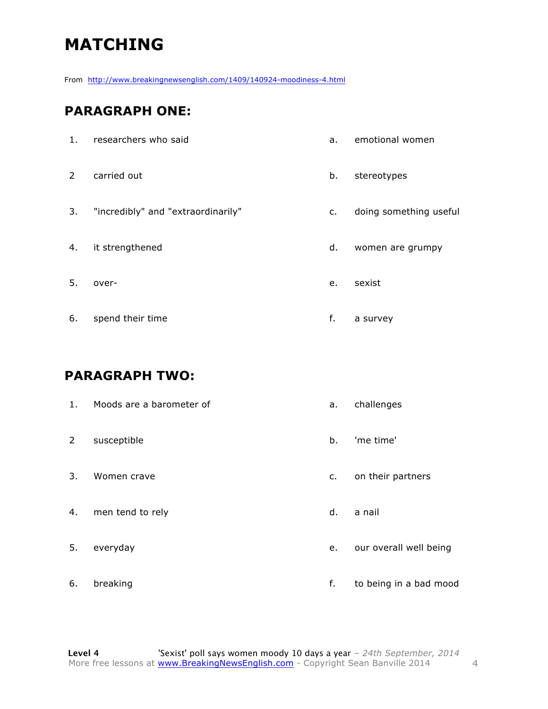# **MATCHING**

From http://www.breakingnewsenglish.com/1409/140924-moodiness-4.html

#### **PARAGRAPH ONE:**

| 1.             | researchers who said               | a.             | emotional women        |
|----------------|------------------------------------|----------------|------------------------|
| $\overline{2}$ | carried out                        | b.             | stereotypes            |
| 3.             | "incredibly" and "extraordinarily" | C <sub>1</sub> | doing something useful |
| 4.             | it strengthened                    | d.             | women are grumpy       |
| 5.             | over-                              | e.             | sexist                 |
| 6.             | spend their time                   | f.             | a survey               |
|                |                                    |                |                        |

#### **PARAGRAPH TWO:**

| 1.             | Moods are a barometer of | a. | challenges             |
|----------------|--------------------------|----|------------------------|
| $\overline{2}$ | susceptible              | b. | 'me time'              |
| 3.             | Women crave              | c. | on their partners      |
| 4.             | men tend to rely         | d. | a nail                 |
| 5.             | everyday                 | e. | our overall well being |
| 6.             | breaking                 | f. | to being in a bad mood |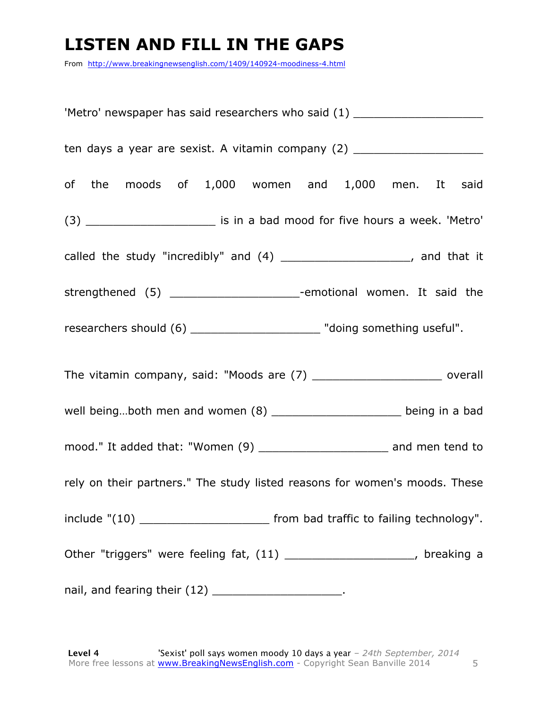### **LISTEN AND FILL IN THE GAPS**

From http://www.breakingnewsenglish.com/1409/140924-moodiness-4.html

| 'Metro' newspaper has said researchers who said (1) ____________________________    |  |  |  |
|-------------------------------------------------------------------------------------|--|--|--|
| ten days a year are sexist. A vitamin company (2) ______________________________    |  |  |  |
| of the moods of 1,000 women and 1,000 men. It said                                  |  |  |  |
| (3) ___________________________ is in a bad mood for five hours a week. 'Metro'     |  |  |  |
| called the study "incredibly" and (4) ______________________, and that it           |  |  |  |
| strengthened (5) ________________________-emotional women. It said the              |  |  |  |
| researchers should (6) __________________________ "doing something useful".         |  |  |  |
| The vitamin company, said: "Moods are (7) _______________________ overall           |  |  |  |
| well beingboth men and women (8) ________________________ being in a bad            |  |  |  |
| mood." It added that: "Women (9) ____________________________ and men tend to       |  |  |  |
| rely on their partners." The study listed reasons for women's moods. These          |  |  |  |
| include "(10) ____________________________ from bad traffic to failing technology". |  |  |  |
| Other "triggers" were feeling fat, (11) ______________________, breaking a          |  |  |  |
| nail, and fearing their (12) ________________________.                              |  |  |  |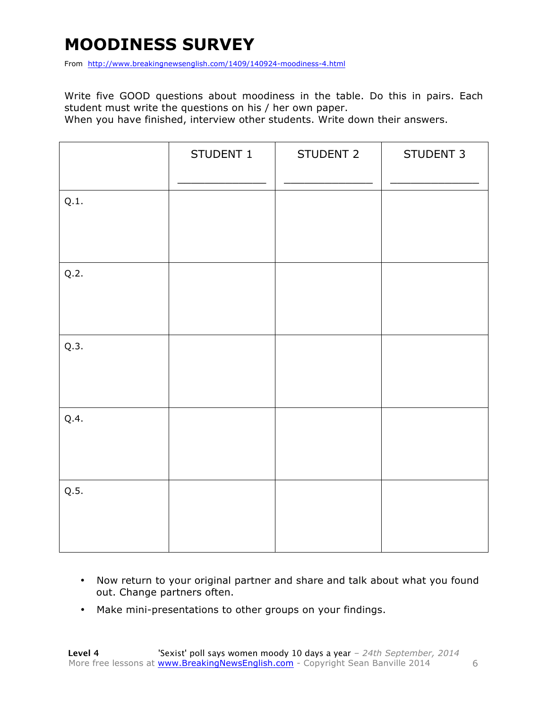### **MOODINESS SURVEY**

From http://www.breakingnewsenglish.com/1409/140924-moodiness-4.html

Write five GOOD questions about moodiness in the table. Do this in pairs. Each student must write the questions on his / her own paper.

When you have finished, interview other students. Write down their answers.

|      | STUDENT 1 | STUDENT 2 | STUDENT 3 |
|------|-----------|-----------|-----------|
| Q.1. |           |           |           |
| Q.2. |           |           |           |
| Q.3. |           |           |           |
| Q.4. |           |           |           |
| Q.5. |           |           |           |

- Now return to your original partner and share and talk about what you found out. Change partners often.
- Make mini-presentations to other groups on your findings.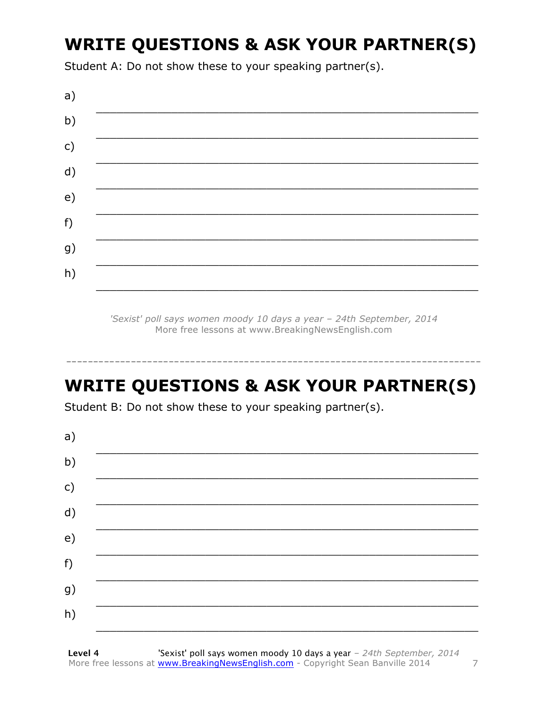# **WRITE QUESTIONS & ASK YOUR PARTNER(S)**

Student A: Do not show these to your speaking partner(s).



'Sexist' poll says women moody 10 days a year - 24th September, 2014 More free lessons at www.BreakingNewsEnglish.com

### **WRITE QUESTIONS & ASK YOUR PARTNER(S)**

Student B: Do not show these to your speaking partner(s).